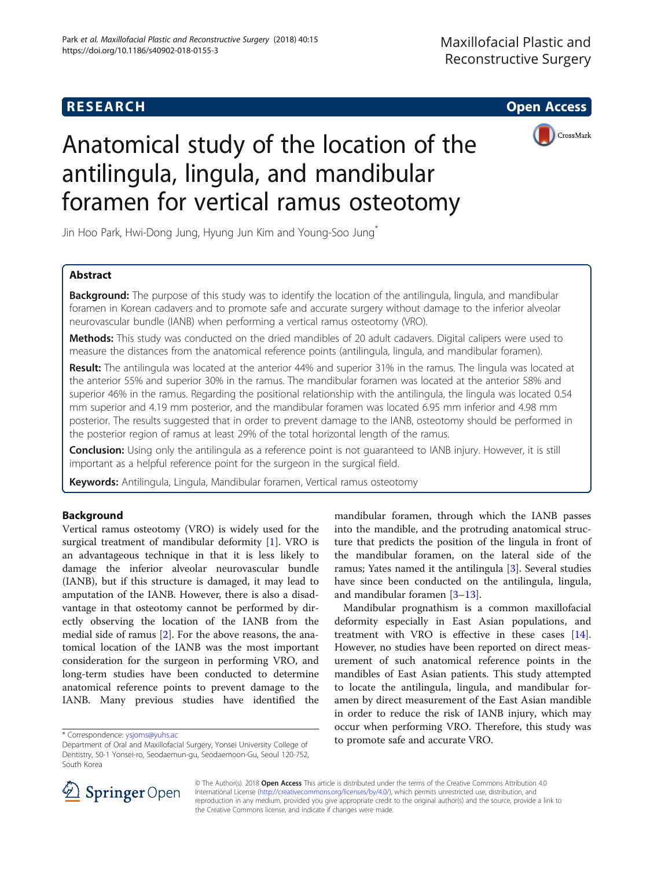## **RESEARCH CHE Open Access**



# Anatomical study of the location of the antilingula, lingula, and mandibular foramen for vertical ramus osteotomy

Jin Hoo Park, Hwi-Dong Jung, Hyung Jun Kim and Young-Soo Jung\*

## Abstract

**Background:** The purpose of this study was to identify the location of the antilingula, lingula, and mandibular foramen in Korean cadavers and to promote safe and accurate surgery without damage to the inferior alveolar neurovascular bundle (IANB) when performing a vertical ramus osteotomy (VRO).

Methods: This study was conducted on the dried mandibles of 20 adult cadavers. Digital calipers were used to measure the distances from the anatomical reference points (antilingula, lingula, and mandibular foramen).

Result: The antilingula was located at the anterior 44% and superior 31% in the ramus. The lingula was located at the anterior 55% and superior 30% in the ramus. The mandibular foramen was located at the anterior 58% and superior 46% in the ramus. Regarding the positional relationship with the antilingula, the lingula was located 0.54 mm superior and 4.19 mm posterior, and the mandibular foramen was located 6.95 mm inferior and 4.98 mm posterior. The results suggested that in order to prevent damage to the IANB, osteotomy should be performed in the posterior region of ramus at least 29% of the total horizontal length of the ramus.

Conclusion: Using only the antilingula as a reference point is not quaranteed to IANB injury. However, it is still important as a helpful reference point for the surgeon in the surgical field.

Keywords: Antilingula, Lingula, Mandibular foramen, Vertical ramus osteotomy

## Background

Vertical ramus osteotomy (VRO) is widely used for the surgical treatment of mandibular deformity [[1](#page-4-0)]. VRO is an advantageous technique in that it is less likely to damage the inferior alveolar neurovascular bundle (IANB), but if this structure is damaged, it may lead to amputation of the IANB. However, there is also a disadvantage in that osteotomy cannot be performed by directly observing the location of the IANB from the medial side of ramus [\[2](#page-4-0)]. For the above reasons, the anatomical location of the IANB was the most important consideration for the surgeon in performing VRO, and long-term studies have been conducted to determine anatomical reference points to prevent damage to the IANB. Many previous studies have identified the

mandibular foramen, through which the IANB passes into the mandible, and the protruding anatomical structure that predicts the position of the lingula in front of the mandibular foramen, on the lateral side of the ramus; Yates named it the antilingula [[3\]](#page-4-0). Several studies have since been conducted on the antilingula, lingula, and mandibular foramen [[3](#page-4-0)–[13](#page-5-0)].

Mandibular prognathism is a common maxillofacial deformity especially in East Asian populations, and treatment with VRO is effective in these cases [\[14](#page-5-0)]. However, no studies have been reported on direct measurement of such anatomical reference points in the mandibles of East Asian patients. This study attempted to locate the antilingula, lingula, and mandibular foramen by direct measurement of the East Asian mandible in order to reduce the risk of IANB injury, which may occur when performing VRO. Therefore, this study was to promote safe and accurate VRO. \* Correspondence: [ysjoms@yuhs.ac](mailto:ysjoms@yuhs.ac)



© The Author(s). 2018 Open Access This article is distributed under the terms of the Creative Commons Attribution 4.0 International License ([http://creativecommons.org/licenses/by/4.0/\)](http://creativecommons.org/licenses/by/4.0/), which permits unrestricted use, distribution, and reproduction in any medium, provided you give appropriate credit to the original author(s) and the source, provide a link to the Creative Commons license, and indicate if changes were made.

Department of Oral and Maxillofacial Surgery, Yonsei University College of Dentistry, 50-1 Yonsei-ro, Seodaemun-gu, Seodaemoon-Gu, Seoul 120-752, South Korea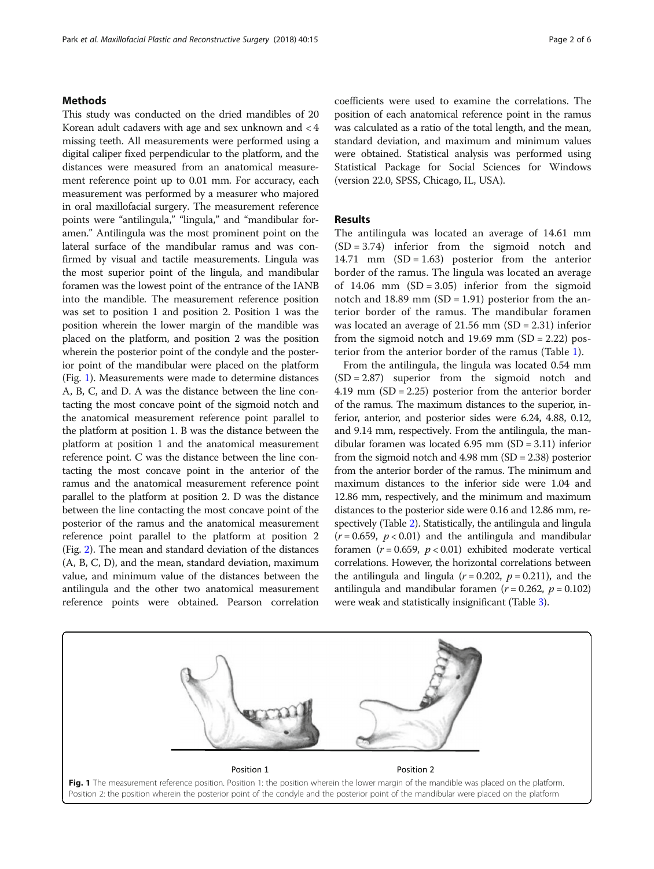#### Methods

This study was conducted on the dried mandibles of 20 Korean adult cadavers with age and sex unknown and < 4 missing teeth. All measurements were performed using a digital caliper fixed perpendicular to the platform, and the distances were measured from an anatomical measurement reference point up to 0.01 mm. For accuracy, each measurement was performed by a measurer who majored in oral maxillofacial surgery. The measurement reference points were "antilingula," "lingula," and "mandibular foramen." Antilingula was the most prominent point on the lateral surface of the mandibular ramus and was confirmed by visual and tactile measurements. Lingula was the most superior point of the lingula, and mandibular foramen was the lowest point of the entrance of the IANB into the mandible. The measurement reference position was set to position 1 and position 2. Position 1 was the position wherein the lower margin of the mandible was placed on the platform, and position 2 was the position wherein the posterior point of the condyle and the posterior point of the mandibular were placed on the platform (Fig. 1). Measurements were made to determine distances A, B, C, and D. A was the distance between the line contacting the most concave point of the sigmoid notch and the anatomical measurement reference point parallel to the platform at position 1. B was the distance between the platform at position 1 and the anatomical measurement reference point. C was the distance between the line contacting the most concave point in the anterior of the ramus and the anatomical measurement reference point parallel to the platform at position 2. D was the distance between the line contacting the most concave point of the posterior of the ramus and the anatomical measurement reference point parallel to the platform at position 2 (Fig. [2\)](#page-2-0). The mean and standard deviation of the distances (A, B, C, D), and the mean, standard deviation, maximum value, and minimum value of the distances between the antilingula and the other two anatomical measurement reference points were obtained. Pearson correlation

coefficients were used to examine the correlations. The position of each anatomical reference point in the ramus was calculated as a ratio of the total length, and the mean, standard deviation, and maximum and minimum values were obtained. Statistical analysis was performed using Statistical Package for Social Sciences for Windows (version 22.0, SPSS, Chicago, IL, USA).

#### Results

The antilingula was located an average of 14.61 mm (SD = 3.74) inferior from the sigmoid notch and 14.71 mm  $(SD = 1.63)$  posterior from the anterior border of the ramus. The lingula was located an average of  $14.06$  mm  $(SD = 3.05)$  inferior from the sigmoid notch and  $18.89$  mm (SD = 1.91) posterior from the anterior border of the ramus. The mandibular foramen was located an average of 21.56 mm (SD = 2.31) inferior from the sigmoid notch and  $19.69$  mm  $(SD = 2.22)$  posterior from the anterior border of the ramus (Table [1\)](#page-2-0).

From the antilingula, the lingula was located 0.54 mm  $(SD = 2.87)$  superior from the sigmoid notch and 4.19 mm (SD = 2.25) posterior from the anterior border of the ramus. The maximum distances to the superior, inferior, anterior, and posterior sides were 6.24, 4.88, 0.12, and 9.14 mm, respectively. From the antilingula, the mandibular foramen was located 6.95 mm (SD = 3.11) inferior from the sigmoid notch and  $4.98$  mm  $(SD = 2.38)$  posterior from the anterior border of the ramus. The minimum and maximum distances to the inferior side were 1.04 and 12.86 mm, respectively, and the minimum and maximum distances to the posterior side were 0.16 and 12.86 mm, respectively (Table [2\)](#page-3-0). Statistically, the antilingula and lingula  $(r = 0.659, p < 0.01)$  and the antilingula and mandibular foramen ( $r = 0.659$ ,  $p < 0.01$ ) exhibited moderate vertical correlations. However, the horizontal correlations between the antilingula and lingula ( $r = 0.202$ ,  $p = 0.211$ ), and the antilingula and mandibular foramen ( $r = 0.262$ ,  $p = 0.102$ ) were weak and statistically insignificant (Table [3](#page-3-0)).

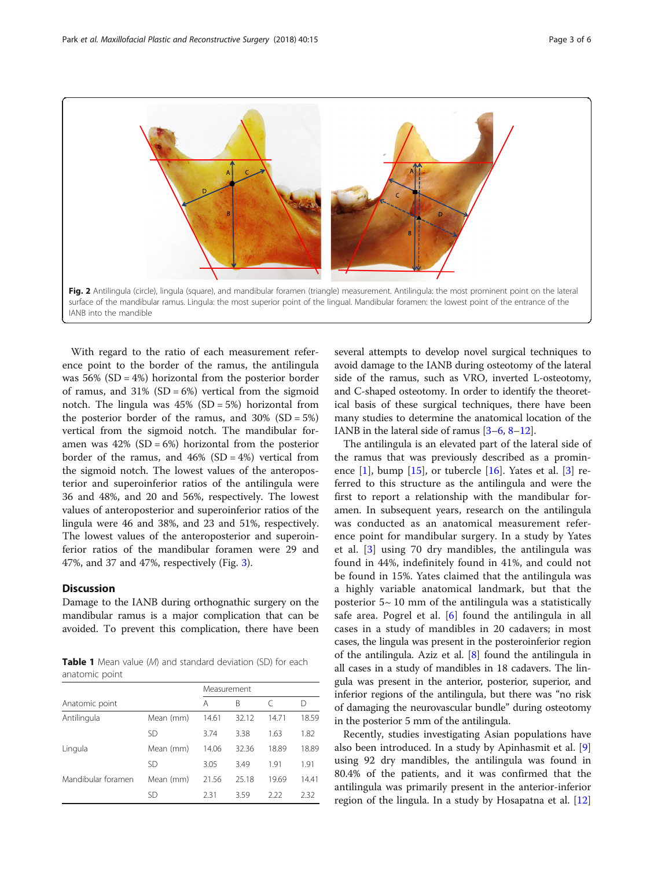<span id="page-2-0"></span>

With regard to the ratio of each measurement reference point to the border of the ramus, the antilingula was  $56\%$  (SD = 4%) horizontal from the posterior border of ramus, and  $31\%$  (SD = 6%) vertical from the sigmoid notch. The lingula was  $45\%$  (SD = 5%) horizontal from the posterior border of the ramus, and  $30\%$  (SD = 5%) vertical from the sigmoid notch. The mandibular foramen was  $42\%$  (SD = 6%) horizontal from the posterior border of the ramus, and  $46\%$  (SD =  $4\%$ ) vertical from the sigmoid notch. The lowest values of the anteroposterior and superoinferior ratios of the antilingula were 36 and 48%, and 20 and 56%, respectively. The lowest values of anteroposterior and superoinferior ratios of the lingula were 46 and 38%, and 23 and 51%, respectively. The lowest values of the anteroposterior and superoinferior ratios of the mandibular foramen were 29 and 47%, and 37 and 47%, respectively (Fig. [3\)](#page-4-0).

## **Discussion**

Damage to the IANB during orthognathic surgery on the mandibular ramus is a major complication that can be avoided. To prevent this complication, there have been

**Table 1** Mean value (M) and standard deviation (SD) for each anatomic point

|                    |           | Measurement |       |       |       |
|--------------------|-----------|-------------|-------|-------|-------|
| Anatomic point     | Α         | B           | C     | D     |       |
| Antilingula        | Mean (mm) | 14.61       | 32.12 | 14.71 | 18.59 |
|                    | <b>SD</b> | 3.74        | 3.38  | 1.63  | 1.82  |
| Lingula            | Mean (mm) | 14.06       | 32.36 | 18.89 | 18.89 |
|                    | SD        | 3.05        | 3.49  | 1.91  | 1.91  |
| Mandibular foramen | Mean (mm) | 21.56       | 25.18 | 19.69 | 14.41 |
|                    | SD        | 2.31        | 3.59  | 2.22  | 2.32  |

several attempts to develop novel surgical techniques to avoid damage to the IANB during osteotomy of the lateral side of the ramus, such as VRO, inverted L-osteotomy, and C-shaped osteotomy. In order to identify the theoretical basis of these surgical techniques, there have been many studies to determine the anatomical location of the IANB in the lateral side of ramus [[3](#page-4-0)–[6](#page-4-0), [8](#page-4-0)–[12](#page-5-0)].

The antilingula is an elevated part of the lateral side of the ramus that was previously described as a prominence  $[1]$ , bump  $[15]$  $[15]$ , or tubercle  $[16]$ . Yates et al.  $[3]$  $[3]$  referred to this structure as the antilingula and were the first to report a relationship with the mandibular foramen. In subsequent years, research on the antilingula was conducted as an anatomical measurement reference point for mandibular surgery. In a study by Yates et al. [\[3](#page-4-0)] using 70 dry mandibles, the antilingula was found in 44%, indefinitely found in 41%, and could not be found in 15%. Yates claimed that the antilingula was a highly variable anatomical landmark, but that the posterior  $5~10$  mm of the antilingula was a statistically safe area. Pogrel et al. [[6\]](#page-4-0) found the antilingula in all cases in a study of mandibles in 20 cadavers; in most cases, the lingula was present in the posteroinferior region of the antilingula. Aziz et al. [\[8](#page-4-0)] found the antilingula in all cases in a study of mandibles in 18 cadavers. The lingula was present in the anterior, posterior, superior, and inferior regions of the antilingula, but there was "no risk of damaging the neurovascular bundle" during osteotomy in the posterior 5 mm of the antilingula.

Recently, studies investigating Asian populations have also been introduced. In a study by Apinhasmit et al. [\[9](#page-4-0)] using 92 dry mandibles, the antilingula was found in 80.4% of the patients, and it was confirmed that the antilingula was primarily present in the anterior-inferior region of the lingula. In a study by Hosapatna et al. [[12](#page-5-0)]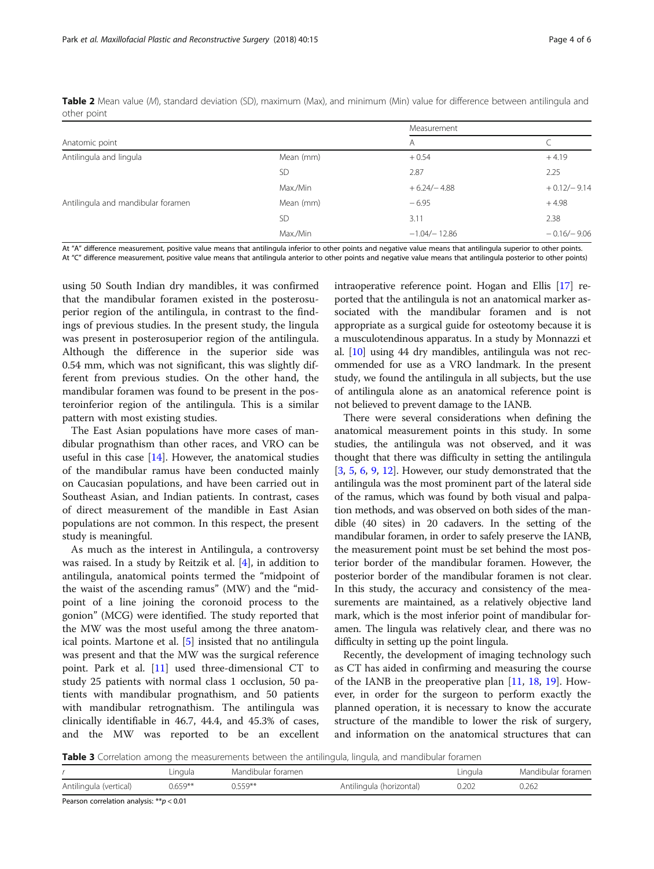<span id="page-3-0"></span>

| Table 2 Mean value (M), standard deviation (SD), maximum (Max), and minimum (Min) value for difference between antilingula and |  |  |  |  |  |
|--------------------------------------------------------------------------------------------------------------------------------|--|--|--|--|--|
| other point                                                                                                                    |  |  |  |  |  |

|                                    |           | Measurement     |               |  |
|------------------------------------|-----------|-----------------|---------------|--|
| Anatomic point                     |           | A               |               |  |
| Antilingula and lingula            | Mean (mm) | $+0.54$         | $+4.19$       |  |
|                                    | <b>SD</b> | 2.87            | 2.25          |  |
|                                    | Max./Min  | $+6.24/-4.88$   | $+0.12/-9.14$ |  |
| Antilingula and mandibular foramen | Mean (mm) | $-6.95$         | $+4.98$       |  |
|                                    | <b>SD</b> | 3.11            | 2.38          |  |
|                                    | Max./Min  | $-1.04/- 12.86$ | $-0.16/-9.06$ |  |

At "A" difference measurement, positive value means that antilingula inferior to other points and negative value means that antilingula superior to other points. At "C" difference measurement, positive value means that antilingula anterior to other points and negative value means that antilingula posterior to other points)

using 50 South Indian dry mandibles, it was confirmed that the mandibular foramen existed in the posterosuperior region of the antilingula, in contrast to the findings of previous studies. In the present study, the lingula was present in posterosuperior region of the antilingula. Although the difference in the superior side was 0.54 mm, which was not significant, this was slightly different from previous studies. On the other hand, the mandibular foramen was found to be present in the posteroinferior region of the antilingula. This is a similar pattern with most existing studies.

The East Asian populations have more cases of mandibular prognathism than other races, and VRO can be useful in this case  $[14]$  $[14]$ . However, the anatomical studies of the mandibular ramus have been conducted mainly on Caucasian populations, and have been carried out in Southeast Asian, and Indian patients. In contrast, cases of direct measurement of the mandible in East Asian populations are not common. In this respect, the present study is meaningful.

As much as the interest in Antilingula, a controversy was raised. In a study by Reitzik et al. [\[4](#page-4-0)], in addition to antilingula, anatomical points termed the "midpoint of the waist of the ascending ramus" (MW) and the "midpoint of a line joining the coronoid process to the gonion" (MCG) were identified. The study reported that the MW was the most useful among the three anatomical points. Martone et al. [\[5](#page-4-0)] insisted that no antilingula was present and that the MW was the surgical reference point. Park et al. [[11\]](#page-5-0) used three-dimensional CT to study 25 patients with normal class 1 occlusion, 50 patients with mandibular prognathism, and 50 patients with mandibular retrognathism. The antilingula was clinically identifiable in 46.7, 44.4, and 45.3% of cases, and the MW was reported to be an excellent

intraoperative reference point. Hogan and Ellis [[17](#page-5-0)] reported that the antilingula is not an anatomical marker associated with the mandibular foramen and is not appropriate as a surgical guide for osteotomy because it is a musculotendinous apparatus. In a study by Monnazzi et al. [[10](#page-5-0)] using 44 dry mandibles, antilingula was not recommended for use as a VRO landmark. In the present study, we found the antilingula in all subjects, but the use of antilingula alone as an anatomical reference point is not believed to prevent damage to the IANB.

There were several considerations when defining the anatomical measurement points in this study. In some studies, the antilingula was not observed, and it was thought that there was difficulty in setting the antilingula [[3,](#page-4-0) [5,](#page-4-0) [6,](#page-4-0) [9,](#page-4-0) [12\]](#page-5-0). However, our study demonstrated that the antilingula was the most prominent part of the lateral side of the ramus, which was found by both visual and palpation methods, and was observed on both sides of the mandible (40 sites) in 20 cadavers. In the setting of the mandibular foramen, in order to safely preserve the IANB, the measurement point must be set behind the most posterior border of the mandibular foramen. However, the posterior border of the mandibular foramen is not clear. In this study, the accuracy and consistency of the measurements are maintained, as a relatively objective land mark, which is the most inferior point of mandibular foramen. The lingula was relatively clear, and there was no difficulty in setting up the point lingula.

Recently, the development of imaging technology such as CT has aided in confirming and measuring the course of the IANB in the preoperative plan [[11,](#page-5-0) [18](#page-5-0), [19\]](#page-5-0). However, in order for the surgeon to perform exactly the planned operation, it is necessary to know the accurate structure of the mandible to lower the risk of surgery, and information on the anatomical structures that can

Table 3 Correlation among the measurements between the antilingula, lingula, and mandibular foramen

|                        |            |                    | $\sim$                   |         |                    |
|------------------------|------------|--------------------|--------------------------|---------|--------------------|
|                        | Lingula    | Mandibular foramen |                          | Lingula | Mandibular foramen |
| Antilingula (vertical) | $0.659***$ | $0.559**$          | Antilingula (horizontal) | 0.202   | 0.262              |

Pearson correlation analysis: \*\*p < 0.01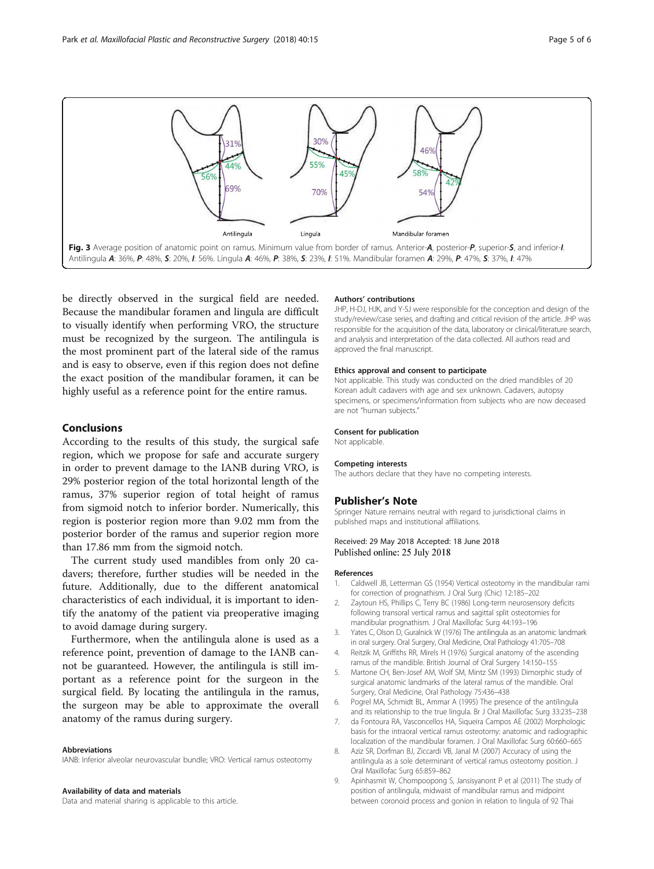<span id="page-4-0"></span>

be directly observed in the surgical field are needed. Because the mandibular foramen and lingula are difficult to visually identify when performing VRO, the structure must be recognized by the surgeon. The antilingula is the most prominent part of the lateral side of the ramus and is easy to observe, even if this region does not define the exact position of the mandibular foramen, it can be highly useful as a reference point for the entire ramus.

### Conclusions

According to the results of this study, the surgical safe region, which we propose for safe and accurate surgery in order to prevent damage to the IANB during VRO, is 29% posterior region of the total horizontal length of the ramus, 37% superior region of total height of ramus from sigmoid notch to inferior border. Numerically, this region is posterior region more than 9.02 mm from the posterior border of the ramus and superior region more than 17.86 mm from the sigmoid notch.

The current study used mandibles from only 20 cadavers; therefore, further studies will be needed in the future. Additionally, due to the different anatomical characteristics of each individual, it is important to identify the anatomy of the patient via preoperative imaging to avoid damage during surgery.

Furthermore, when the antilingula alone is used as a reference point, prevention of damage to the IANB cannot be guaranteed. However, the antilingula is still important as a reference point for the surgeon in the surgical field. By locating the antilingula in the ramus, the surgeon may be able to approximate the overall anatomy of the ramus during surgery.

#### Abbreviations

IANB: Inferior alveolar neurovascular bundle; VRO: Vertical ramus osteotomy

#### Availability of data and materials

Data and material sharing is applicable to this article.

#### Authors' contributions

JHP, H-DJ, HJK, and Y-SJ were responsible for the conception and design of the study/review/case series, and drafting and critical revision of the article. JHP was responsible for the acquisition of the data, laboratory or clinical/literature search, and analysis and interpretation of the data collected. All authors read and approved the final manuscript.

#### Ethics approval and consent to participate

Not applicable. This study was conducted on the dried mandibles of 20 Korean adult cadavers with age and sex unknown. Cadavers, autopsy specimens, or specimens/information from subjects who are now deceased are not "human subjects."

#### Consent for publication

Not applicable.

#### Competing interests

The authors declare that they have no competing interests.

#### Publisher's Note

Springer Nature remains neutral with regard to jurisdictional claims in published maps and institutional affiliations.

#### Received: 29 May 2018 Accepted: 18 June 2018 Published online: 25 July 2018

#### References

- 1. Caldwell JB, Letterman GS (1954) Vertical osteotomy in the mandibular rami for correction of prognathism. J Oral Surg (Chic) 12:185–202
- 2. Zaytoun HS, Phillips C, Terry BC (1986) Long-term neurosensory deficits following transoral vertical ramus and sagittal split osteotomies for mandibular prognathism. J Oral Maxillofac Surg 44:193–196
- 3. Yates C, Olson D, Guralnick W (1976) The antilingula as an anatomic landmark in oral surgery. Oral Surgery, Oral Medicine, Oral Pathology 41:705–708
- 4. Reitzik M, Griffiths RR, Mirels H (1976) Surgical anatomy of the ascending ramus of the mandible. British Journal of Oral Surgery 14:150–155
- 5. Martone CH, Ben-Josef AM, Wolf SM, Mintz SM (1993) Dimorphic study of surgical anatomic landmarks of the lateral ramus of the mandible. Oral Surgery, Oral Medicine, Oral Pathology 75:436–438
- 6. Pogrel MA, Schmidt BL, Ammar A (1995) The presence of the antilingula and its relationship to the true lingula. Br J Oral Maxillofac Surg 33:235–238
- 7. da Fontoura RA, Vasconcellos HA, Siqueira Campos AE (2002) Morphologic basis for the intraoral vertical ramus osteotomy: anatomic and radiographic localization of the mandibular foramen. J Oral Maxillofac Surg 60:660–665
- 8. Aziz SR, Dorfman BJ, Ziccardi VB, Janal M (2007) Accuracy of using the antilingula as a sole determinant of vertical ramus osteotomy position. J Oral Maxillofac Surg 65:859–862
- 9. Apinhasmit W, Chompoopong S, Jansisyanont P et al (2011) The study of position of antilingula, midwaist of mandibular ramus and midpoint between coronoid process and gonion in relation to lingula of 92 Thai